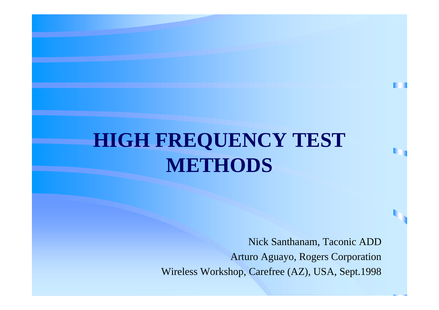#### **HIGH FREQUENCY TEST METHODS**

Nick Santhanam, Taconic ADD Arturo Aguayo, Rogers Corporation Wireless Workshop, Carefree (AZ), USA, Sept.1998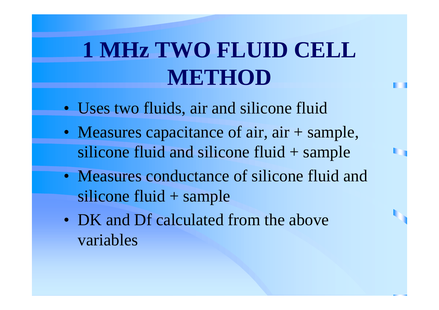## **1 MHz TWO FLUID CELL METHOD**

- Uses two fluids, air and silicone fluid
- Measures capacitance of air, air + sample, silicone fluid and silicone fluid + sample
- Measures conductance of silicone fluid and silicone fluid + sample
- DK and Df calculated from the above variables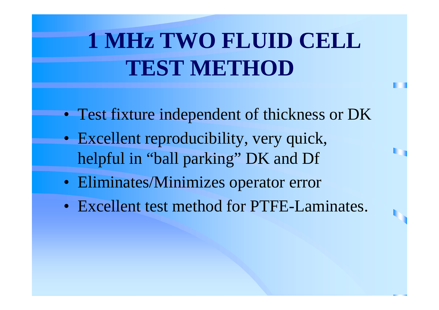## **1 MHz TWO FLUID CELL TEST METHOD**

- Test fixture independent of thickness or DK
- Excellent reproducibility, very quick, helpful in "ball parking" DK and Df
- Eliminates/Minimizes operator error
- Excellent test method for PTFE-Laminates.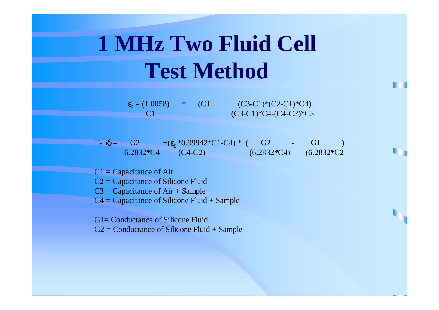### **1 MHz Two Fluid Cell Test Method**

 $\varepsilon_r = (1.0058)$  \* (C1 + (C3-C1)\*(C2-C1)\*C4) C1 (C3-C1)\*C4-(C4-C2)\*C3

 $\text{Tan}\delta =$  G2 +( $\epsilon_r$  \*0.99942\*C1-C4) \* (G2 - G1 ) 6.2832\*C4 (C4-C2) (6.2832\*C4) (6.2832\*C2

 $Cl = Capacitance$  of Air

C2 = Capacitance of Silicone Fluid

 $C3 =$ Capacitance of Air + Sample

 $C4 =$  Capacitance of Silicone Fluid + Sample

G1= Conductance of Silicone Fluid

 $G2 =$  Conductance of Silicone Fluid  $+$  Sample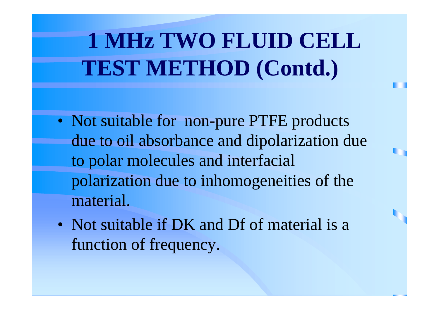# **1 MHz TWO FLUID CELL TEST METHOD (Contd.)**

- Not suitable for non-pure PTFE products due to oil absorbance and dipolarization due to polar molecules and interfacial polarization due to inhomogeneities of the material.
- Not suitable if DK and Df of material is a function of frequency.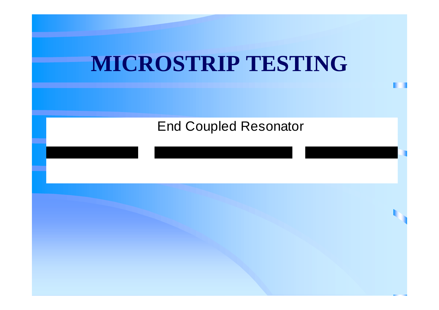

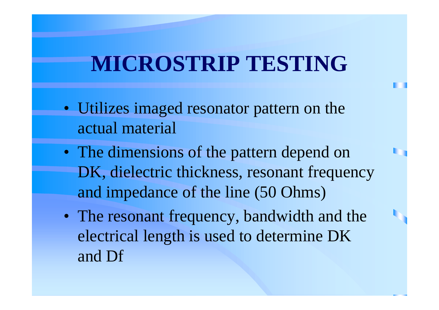- Utilizes imaged resonator pattern on the actual material
- The dimensions of the pattern depend on DK, dielectric thickness, resonant frequency and impedance of the line (50 Ohms)
- The resonant frequency, bandwidth and the electrical length is used to determine DK and Df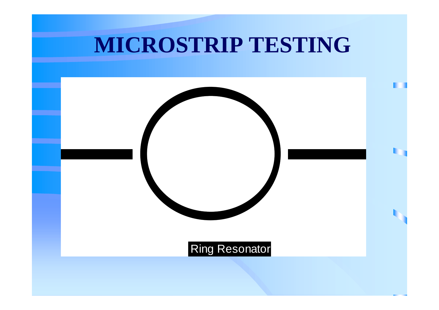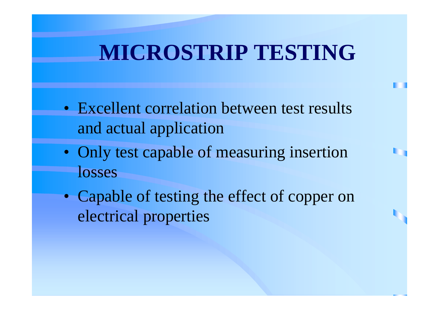- Excellent correlation between test results and actual application
- Only test capable of measuring insertion losses
- Capable of testing the effect of copper on electrical properties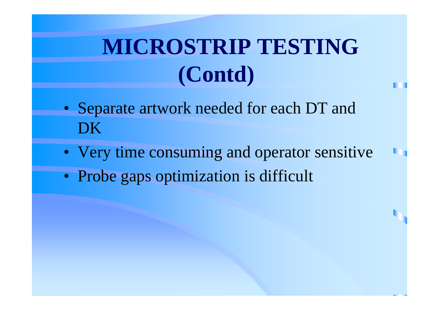# **MICROSTRIP TESTING (Contd)**

- Separate artwork needed for each DT and DK
- Very time consuming and operator sensitive
- Probe gaps optimization is difficult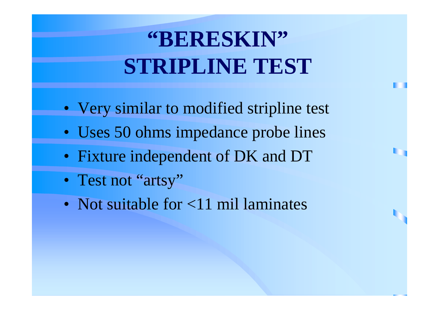# **"BERESKIN" STRIPLINE TEST**

- Very similar to modified stripline test
- Uses 50 ohms impedance probe lines
- Fixture independent of DK and DT
- Test not "artsy"
- Not suitable for <11 mil laminates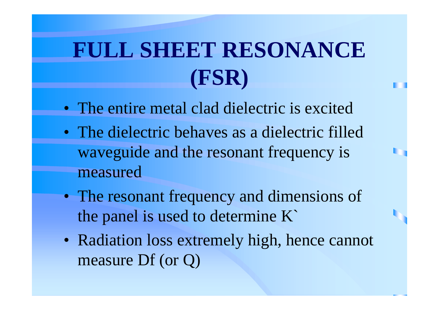## **FULL SHEET RESONANCE (FSR)**

- The entire metal clad dielectric is excited
- The dielectric behaves as a dielectric filled waveguide and the resonant frequency is measured
- The resonant frequency and dimensions of the panel is used to determine K`
- Radiation loss extremely high, hence cannot measure Df (or Q)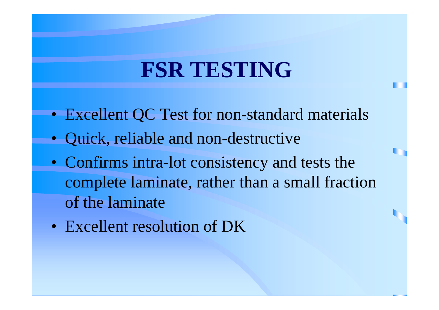#### **FSR TESTING**

- Excellent QC Test for non-standard materials
- Quick, reliable and non-destructive
- Confirms intra-lot consistency and tests the complete laminate, rather than a small fraction of the laminate
- Excellent resolution of DK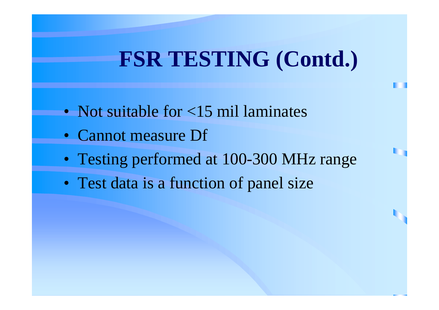#### **FSR TESTING (Contd.)**

- Not suitable for <15 mil laminates
- Cannot measure Df
- Testing performed at 100-300 MHz range
- Test data is a function of panel size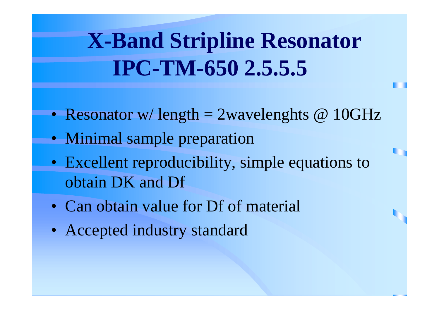## **X-Band Stripline Resonator IPC-TM-650 2.5.5.5**

- Resonator w/length = 2wavelenghts @ 10GHz
- Minimal sample preparation
- Excellent reproducibility, simple equations to obtain DK and Df
- Can obtain value for Df of material
- Accepted industry standard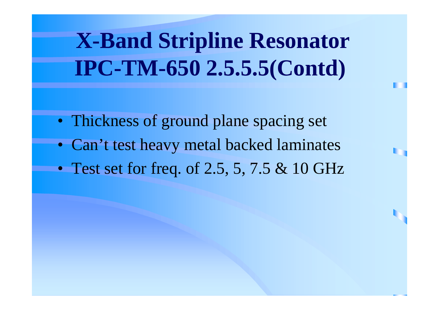**X-Band Stripline Resonator IPC-TM-650 2.5.5.5(Contd)**

- Thickness of ground plane spacing set
- Can't test heavy metal backed laminates
- Test set for freq. of 2.5, 5, 7.5 & 10 GHz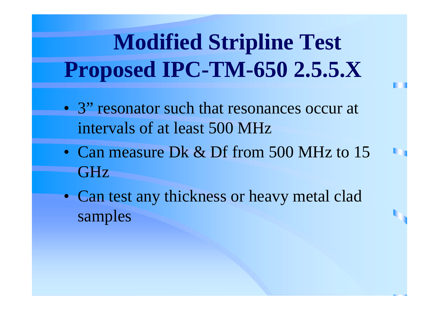# **Modified Stripline Test Proposed IPC-TM-650 2.5.5.X**

- 3" resonator such that resonances occur at intervals of at least 500 MHz
- Can measure Dk & Df from 500 MHz to 15 GHz
- Can test any thickness or heavy metal clad samples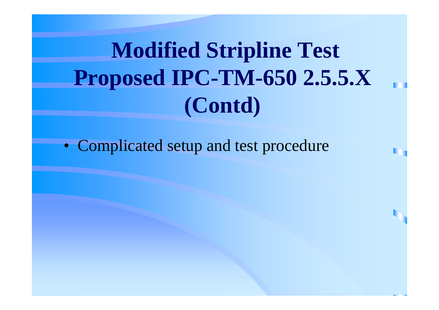**Modified Stripline Test Proposed IPC-TM-650 2.5.5.X (Contd)**

• Complicated setup and test procedure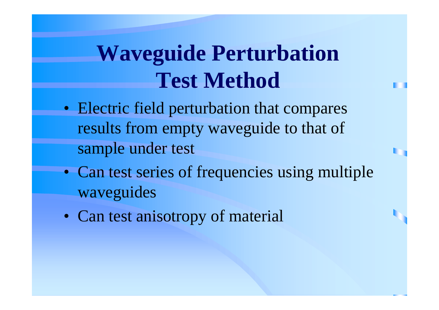### **Waveguide Perturbation Test Method**

- Electric field perturbation that compares results from empty waveguide to that of sample under test
- Can test series of frequencies using multiple waveguides
- Can test anisotropy of material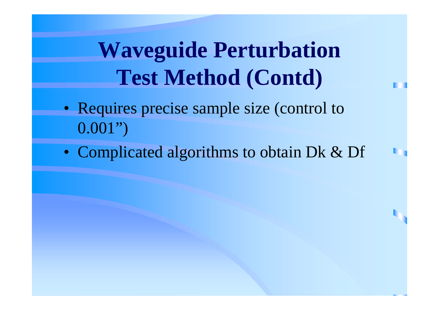**Waveguide Perturbation Test Method (Contd)**

- Requires precise sample size (control to 0.001")
- Complicated algorithms to obtain Dk & Df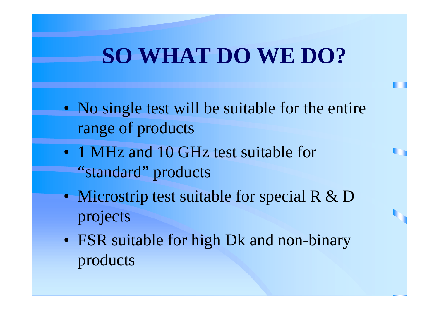#### **SO WHAT DO WE DO?**

- No single test will be suitable for the entire range of products
- 1 MHz and 10 GHz test suitable for "standard" products
- Microstrip test suitable for special R & D projects
- FSR suitable for high Dk and non-binary products